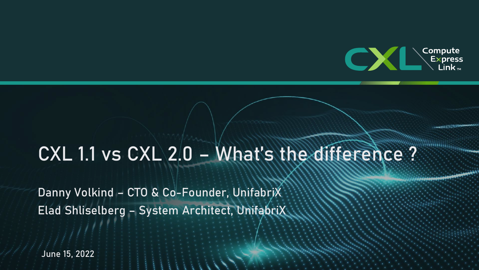

### CXL 1.1 vs CXL 2.0 - What's the difference ?

Danny Volkind – CTO & Co-Founder, UnifabriX Elad Shliselberg – System Architect, UnifabriX

June 15, 2022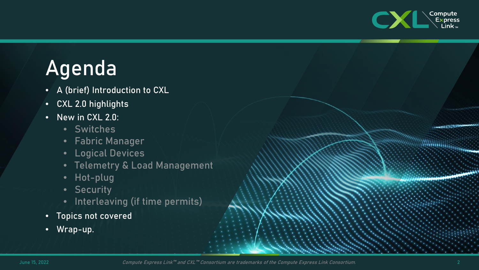

### Agenda

- A (brief) Introduction to CXL
- CXL 2.0 highlights
- New in CXL 2.0:
	- Switches
	- Fabric Manager
	- Logical Devices
	- Telemetry & Load Management
	- Hot-plug
	- Security
	- Interleaving (if time permits)
- Topics not covered
- Wrap-up.

Annual 1111111129

**Summary Commerce**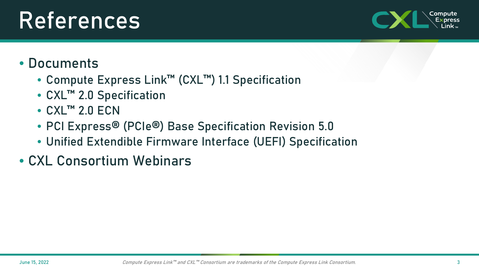## References

### • Documents

- Compute Express Link™ (CXL™) 1.1 Specification
- CXL™ 2.0 Specification
- CXL<sup>™</sup> 2.0 ECN
- PCI Express® (PCIe®) Base Specification Revision 5.0
- Unified Extendible Firmware Interface (UEFI) Specification
- CXL Consortium Webinars

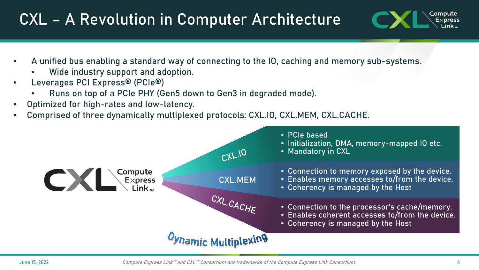### CXL – A Revolution in Computer Architecture



- A unified bus enabling a standard way of connecting to the IO, caching and memory sub-systems.
	- Wide industry support and adoption.
- Leverages PCI Express® (PCIe®)
	- Runs on top of a PCIe PHY (Gen5 down to Gen3 in degraded mode).
- Optimized for high-rates and low-latency.
- Comprised of three dynamically multiplexed protocols: CXL.IO, CXL.MEM, CXL.CACHE.

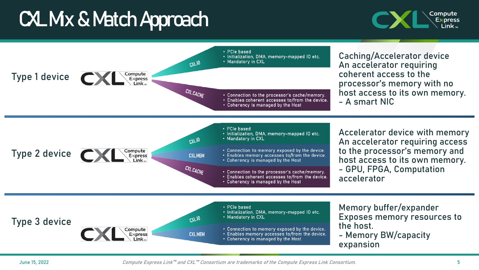### CXL Mx & Match Approach



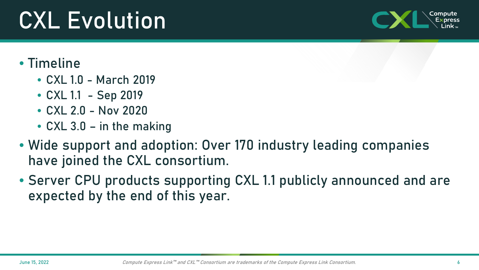# CXL Evolution

### • Timeline

- CXL 1.0 March 2019
- CXL 1.1 Sep 2019
- CXL 2.0 Nov 2020
- CXL 3.0 in the making
- Wide support and adoption: Over 170 industry leading companies have joined the CXL consortium.
- Server CPU products supporting CXL 1.1 publicly announced and are expected by the end of this year.

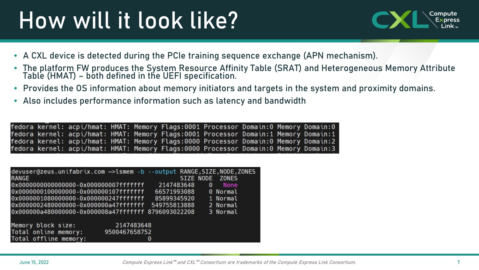# How will it look like?



- A CXL device is detected during the PCIe training sequence exchange (APN mechanism).
- The platform FW produces the System Resource Affinity Table (SRAT) and Heterogeneous Memory Attribute Table (HMAT) – both defined in the UEFI specification.
- Provides the OS information about memory initiators and targets in the system and proximity domains.
- Also includes performance information such as latency and bandwidth

fedora kernel: acpi/hmat: HMAT: Memory Flags:0001 Processor Domain:0 Memory Domain:0 fedora kernel: acpi/hmat: HMAT: Memory Flags:0001 Processor Domain:1 Memory Domain:1 fedora kernel: acpi/hmat: HMAT: Memory Flags:0000 Processor Domain:0 Memory Domain:2 fedora kernel: acpi/hmat: HMAT: Memory Flags:0000 Processor Domain:0 Memory Domain:3

| devuser@zeus.unifabrix.com ~>lsmem -b --output RANGE, SIZE, NODE, ZONES<br><b>RANGE</b> |                             |             | SIZE NODE ZONES |   |          |
|-----------------------------------------------------------------------------------------|-----------------------------|-------------|-----------------|---|----------|
| 0x00000000000000000-0x0000000007fffffff                                                 |                             | 2147483648  |                 | 0 | None     |
| 0x0000000100000000-0x000000107fffffff                                                   |                             | 66571993088 |                 |   | 0 Normal |
| 0x0000001080000000-0x000000247fffffff                                                   |                             | 85899345920 |                 |   | 1 Normal |
| 0x0000002480000000-0x000000a47fffffff 549755813888                                      |                             |             |                 |   | 2 Normal |
| 0x000000a480000000-0x000008a47fffffff 8796093022208                                     |                             |             |                 |   | 3 Normal |
| Memory block size:<br>Total online memory:<br>Total offline memory:                     | 2147483648<br>9500467658752 | 0           |                 |   |          |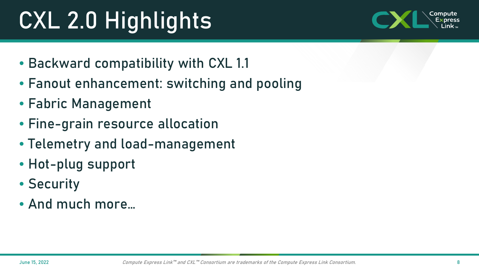# CXL 2.0 Highlights



- Backward compatibility with CXL 1.1
- Fanout enhancement: switching and pooling
- Fabric Management
- Fine-grain resource allocation
- Telemetry and load-management
- Hot-plug support
- Security
- And much more…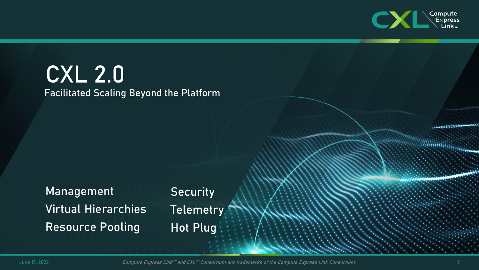

### CXL 2.0 Facilitated Scaling Beyond the Platform

Management Virtual Hierarchies Resource Pooling

**Security** Telemetry Hot Plug

June 15, 2022 *Compute Express Link™ and CXL™ Consortium are trademarks of the Compute Express Link Consortium.* 9

A .... (111111112)

**MANAGER STATE**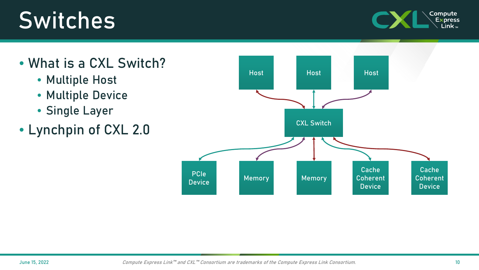## Switches



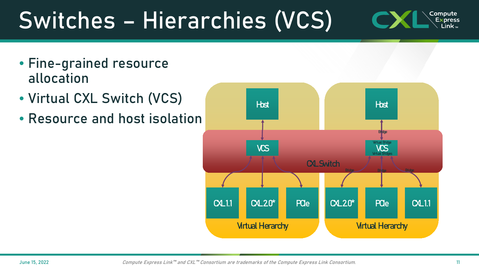### Switches – Hierarchies (VCS) Compute **Express** Link $_{\textrm{\tiny{TM}}}$

- Fine-grained resource allocation
- Virtual CXL Switch (VCS)
- Resource and host isolation

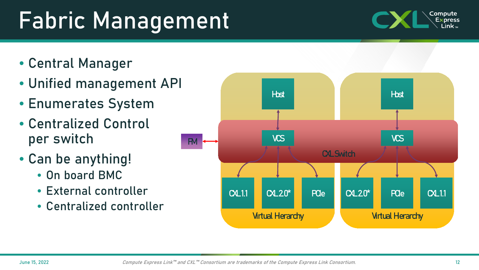# Fabric Management

- Central Manager
- Unified management API
- Enumerates System
- Centralized Control per switch
- Can be anything!
	- On board BMC
	- External controller
	- Centralized controller



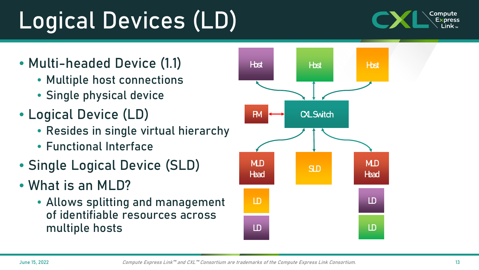June 15, 2022 Compute Express Link™ and CXL™ Consortium are trademarks of the Compute Express Link Consortium.

# Logical Devices (LD)

- Multi-headed Device (1.1)
	- Multiple host connections
	- Single physical device
- Logical Device (LD)
	- Resides in single virtual hierarchy
	- Functional Interface
- Single Logical Device (SLD)
- What is an MLD?
	- Allows splitting and management of identifiable resources across multiple hosts



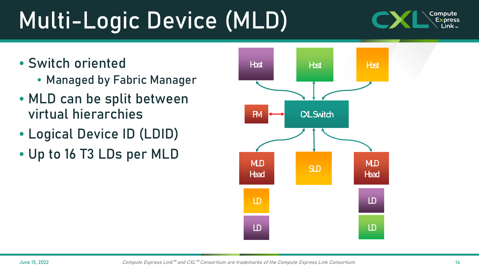June 15, 2022 Compute Express Link™ and CXL™ Consortium are trademarks of the Compute Express Link Consortium.

## Multi-Logic Device (MLD)

- Switch oriented
	- Managed by Fabric Manager
- MLD can be split between virtual hierarchies
- Logical Device ID (LDID)
- Up to 16 T3 LDs per MLD



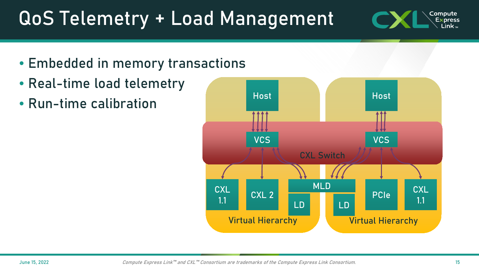## QoS Telemetry + Load Management

- Embedded in memory transactions
- Real-time load telemetry
- Run-time calibration



Compute **Express** Link $_{\textrm{\tiny{TM}}}$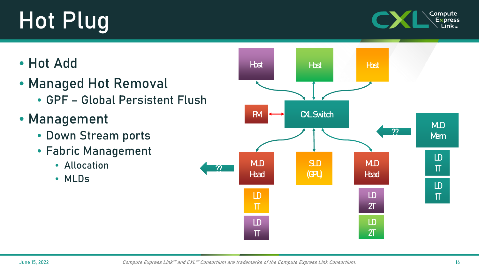# Hot Plug



### • Hot Add

- Managed Hot Removal
	- GPF Global Persistent Flush
- Management
	- Down Stream ports
	- Fabric Management
		- Allocation
		- MLDs

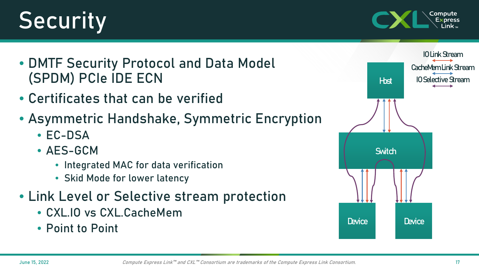# **Security**



- DMTF Security Protocol and Data Model (SPDM) PCIe IDE ECN
- Certificates that can be verified
- Asymmetric Handshake, Symmetric Encryption
	- EC-DSA
	- AES-GCM
		- Integrated MAC for data verification
		- Skid Mode for lower latency
- Link Level or Selective stream protection
	- CXL.IO vs CXL.CacheMem
	- Point to Point

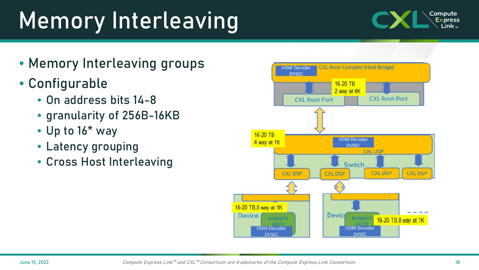# Memory Interleaving

- Memory Interleaving groups
- Configurable
	- On address bits 14-8
	- granularity of 256B-16KB
	- Up to 16\* way
	- Latency grouping
	- Cross Host Interleaving



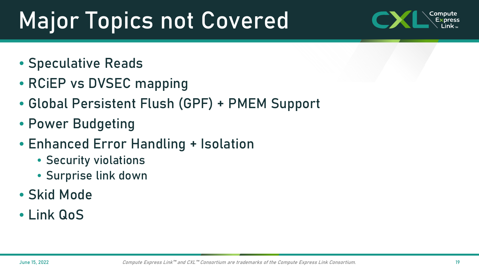# Major Topics not Covered



- Speculative Reads
- RCIEP vs DVSEC mapping
- Global Persistent Flush (GPF) + PMEM Support
- Power Budgeting
- Enhanced Error Handling + Isolation
	- Security violations
	- Surprise link down
- Skid Mode
- Link QoS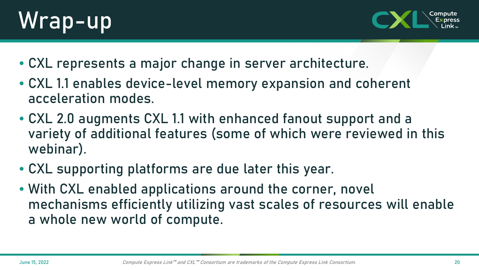



- CXL represents a major change in server architecture.
- CXL 1.1 enables device-level memory expansion and coherent acceleration modes.
- CXL 2.0 augments CXL 1.1 with enhanced fanout support and a variety of additional features (some of which were reviewed in this webinar).
- CXL supporting platforms are due later this year.
- With CXL enabled applications around the corner, novel mechanisms efficiently utilizing vast scales of resources will enable a whole new world of compute.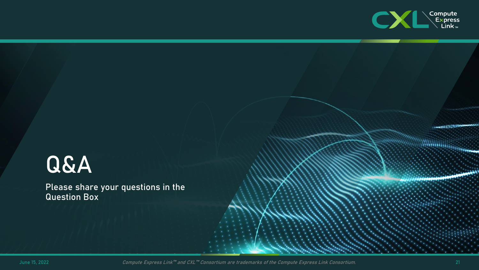

## Q&A

Please share your questions in the Question Box